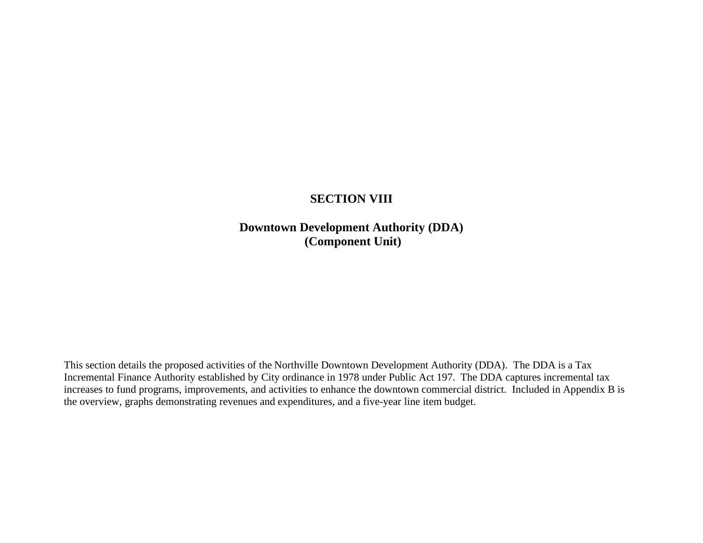# **SECTION VIII**

**Downtown Development Authority (DDA) (Component Unit)**

This section details the proposed activities of the Northville Downtown Development Authority (DDA). The DDA is a Tax Incremental Finance Authority established by City ordinance in 1978 under Public Act 197. The DDA captures incremental tax increases to fund programs, improvements, and activities to enhance the downtown commercial district. Included in Appendix B is the overview, graphs demonstrating revenues and expenditures, and a five-year line item budget.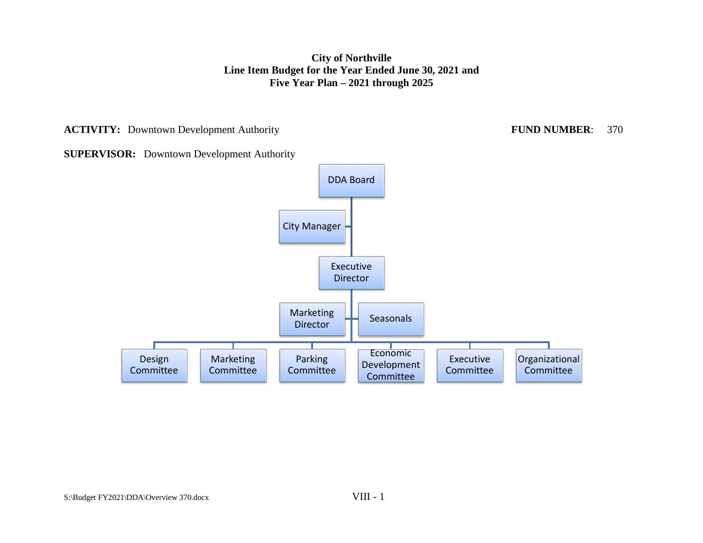**ACTIVITY:** Downtown Development Authority **FUND NUMBER**: 370

**SUPERVISOR:** Downtown Development Authority

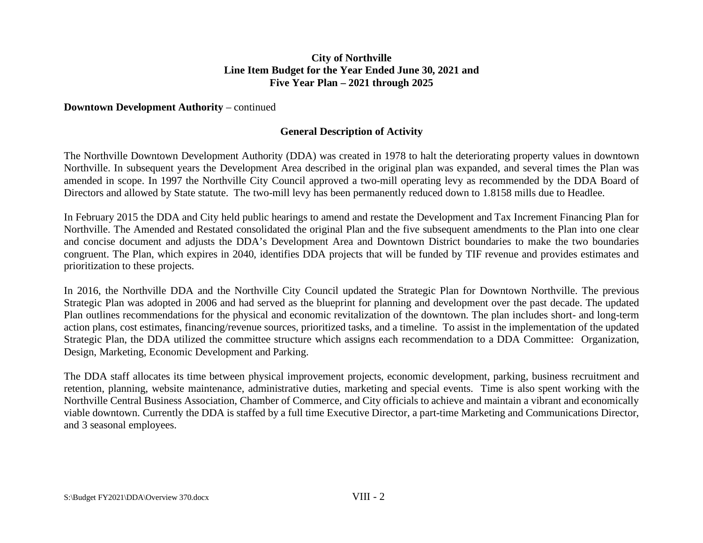## **Downtown Development Authority – continued**

## **General Description of Activity**

The Northville Downtown Development Authority (DDA) was created in 1978 to halt the deteriorating property values in downtown Northville. In subsequent years the Development Area described in the original plan was expanded, and several times the Plan was amended in scope. In 1997 the Northville City Council approved a two-mill operating levy as recommended by the DDA Board of Directors and allowed by State statute. The two-mill levy has been permanently reduced down to 1.8158 mills due to Headlee.

In February 2015 the DDA and City held public hearings to amend and restate the Development and Tax Increment Financing Plan for Northville. The Amended and Restated consolidated the original Plan and the five subsequent amendments to the Plan into one clear and concise document and adjusts the DDA's Development Area and Downtown District boundaries to make the two boundaries congruent. The Plan, which expires in 2040, identifies DDA projects that will be funded by TIF revenue and provides estimates and prioritization to these projects.

In 2016, the Northville DDA and the Northville City Council updated the Strategic Plan for Downtown Northville. The previous Strategic Plan was adopted in 2006 and had served as the blueprint for planning and development over the past decade. The updated Plan outlines recommendations for the physical and economic revitalization of the downtown. The plan includes short- and long-term action plans, cost estimates, financing/revenue sources, prioritized tasks, and a timeline. To assist in the implementation of the updated Strategic Plan, the DDA utilized the committee structure which assigns each recommendation to a DDA Committee: Organization, Design, Marketing, Economic Development and Parking.

The DDA staff allocates its time between physical improvement projects, economic development, parking, business recruitment and retention, planning, website maintenance, administrative duties, marketing and special events. Time is also spent working with the Northville Central Business Association, Chamber of Commerce, and City officials to achieve and maintain a vibrant and economically viable downtown. Currently the DDA is staffed by a full time Executive Director, a part-time Marketing and Communications Director, and 3 seasonal employees.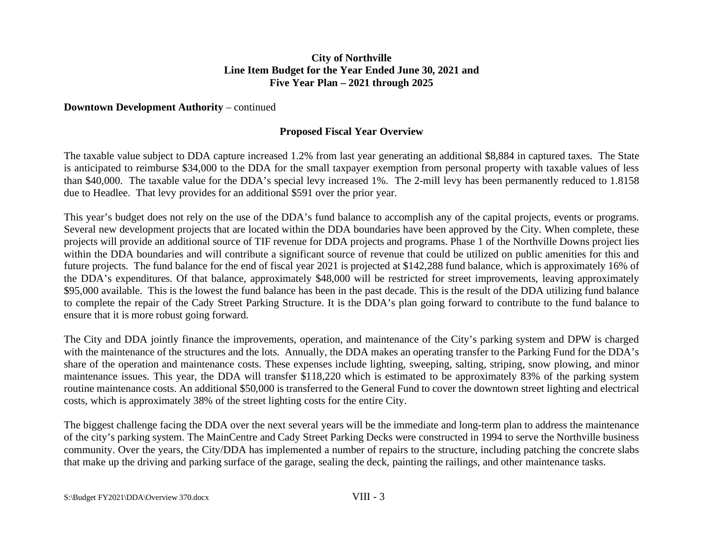## **Downtown Development Authority – continued**

## **Proposed Fiscal Year Overview**

The taxable value subject to DDA capture increased 1.2% from last year generating an additional \$8,884 in captured taxes. The State is anticipated to reimburse \$34,000 to the DDA for the small taxpayer exemption from personal property with taxable values of less than \$40,000. The taxable value for the DDA's special levy increased 1%. The 2-mill levy has been permanently reduced to 1.8158 due to Headlee. That levy provides for an additional \$591 over the prior year.

This year's budget does not rely on the use of the DDA's fund balance to accomplish any of the capital projects, events or programs. Several new development projects that are located within the DDA boundaries have been approved by the City. When complete, these projects will provide an additional source of TIF revenue for DDA projects and programs. Phase 1 of the Northville Downs project lies within the DDA boundaries and will contribute a significant source of revenue that could be utilized on public amenities for this and future projects. The fund balance for the end of fiscal year 2021 is projected at \$142,288 fund balance, which is approximately 16% of the DDA's expenditures. Of that balance, approximately \$48,000 will be restricted for street improvements, leaving approximately \$95,000 available. This is the lowest the fund balance has been in the past decade. This is the result of the DDA utilizing fund balance to complete the repair of the Cady Street Parking Structure. It is the DDA's plan going forward to contribute to the fund balance to ensure that it is more robust going forward.

The City and DDA jointly finance the improvements, operation, and maintenance of the City's parking system and DPW is charged with the maintenance of the structures and the lots. Annually, the DDA makes an operating transfer to the Parking Fund for the DDA's share of the operation and maintenance costs. These expenses include lighting, sweeping, salting, striping, snow plowing, and minor maintenance issues. This year, the DDA will transfer \$118,220 which is estimated to be approximately 83% of the parking system routine maintenance costs. An additional \$50,000 is transferred to the General Fund to cover the downtown street lighting and electrical costs, which is approximately 38% of the street lighting costs for the entire City.

The biggest challenge facing the DDA over the next several years will be the immediate and long-term plan to address the maintenance of the city's parking system. The MainCentre and Cady Street Parking Decks were constructed in 1994 to serve the Northville business community. Over the years, the City/DDA has implemented a number of repairs to the structure, including patching the concrete slabs that make up the driving and parking surface of the garage, sealing the deck, painting the railings, and other maintenance tasks.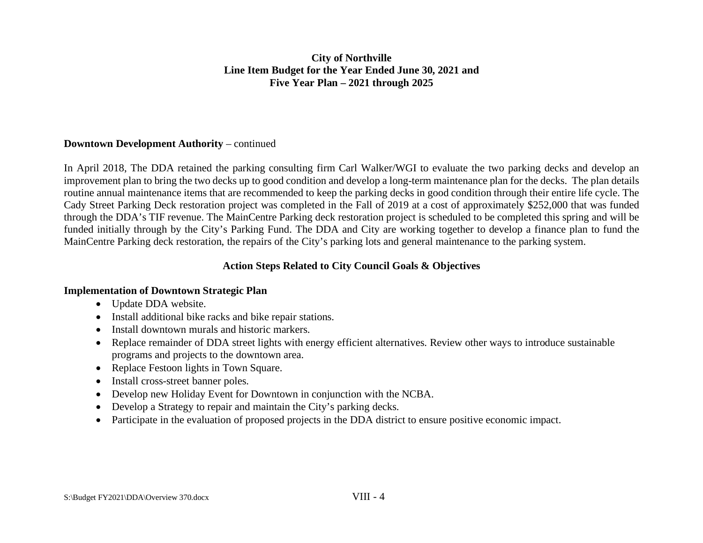## **Downtown Development Authority** – continued

In April 2018, The DDA retained the parking consulting firm Carl Walker/WGI to evaluate the two parking decks and develop an improvement plan to bring the two decks up to good condition and develop a long-term maintenance plan for the decks. The plan details routine annual maintenance items that are recommended to keep the parking decks in good condition through their entire life cycle. The Cady Street Parking Deck restoration project was completed in the Fall of 2019 at a cost of approximately \$252,000 that was funded through the DDA's TIF revenue. The MainCentre Parking deck restoration project is scheduled to be completed this spring and will be funded initially through by the City's Parking Fund. The DDA and City are working together to develop a finance plan to fund the MainCentre Parking deck restoration, the repairs of the City's parking lots and general maintenance to the parking system.

## **Action Steps Related to City Council Goals & Objectives**

## **Implementation of Downtown Strategic Plan**

- Update DDA website.
- Install additional bike racks and bike repair stations.
- Install downtown murals and historic markers.
- Replace remainder of DDA street lights with energy efficient alternatives. Review other ways to introduce sustainable programs and projects to the downtown area.
- Replace Festoon lights in Town Square.
- Install cross-street banner poles.
- Develop new Holiday Event for Downtown in conjunction with the NCBA.
- Develop a Strategy to repair and maintain the City's parking decks.
- Participate in the evaluation of proposed projects in the DDA district to ensure positive economic impact.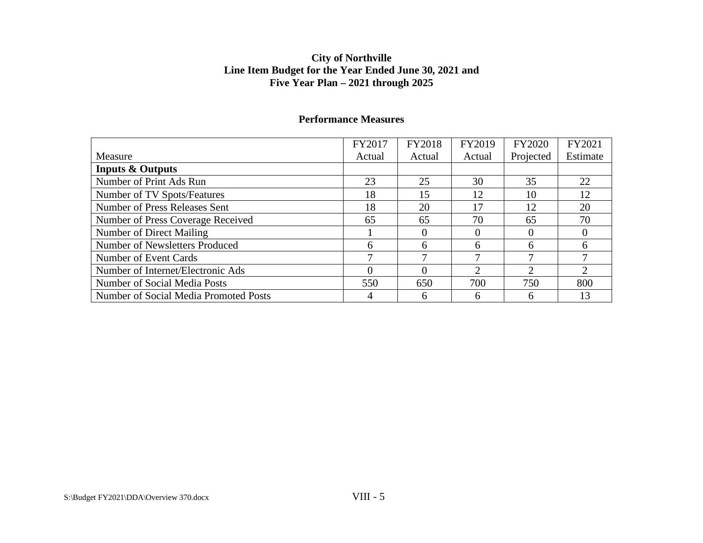|                                       | FY2017 | FY2018 | FY2019        | <b>FY2020</b> | FY2021   |
|---------------------------------------|--------|--------|---------------|---------------|----------|
| Measure                               | Actual | Actual | Actual        | Projected     | Estimate |
| <b>Inputs &amp; Outputs</b>           |        |        |               |               |          |
| Number of Print Ads Run               | 23     | 25     | 30            | 35            | 22       |
| Number of TV Spots/Features           | 18     | 15     | 12            | 10            | 12       |
| Number of Press Releases Sent         | 18     | 20     | 17            | 12            | 20       |
| Number of Press Coverage Received     | 65     | 65     | 70            | 65            | 70       |
| Number of Direct Mailing              |        |        |               |               |          |
| Number of Newsletters Produced        | 6      | 6      | 6             | 6             |          |
| Number of Event Cards                 | 7      | ⇁      | ⇁             | ⇁             |          |
| Number of Internet/Electronic Ads     | 0      |        | $\mathcal{D}$ | ◠             |          |
| Number of Social Media Posts          | 550    | 650    | 700           | 750           | 800      |
| Number of Social Media Promoted Posts |        | 6      | 6             | n             | 13       |

## **Performance Measures**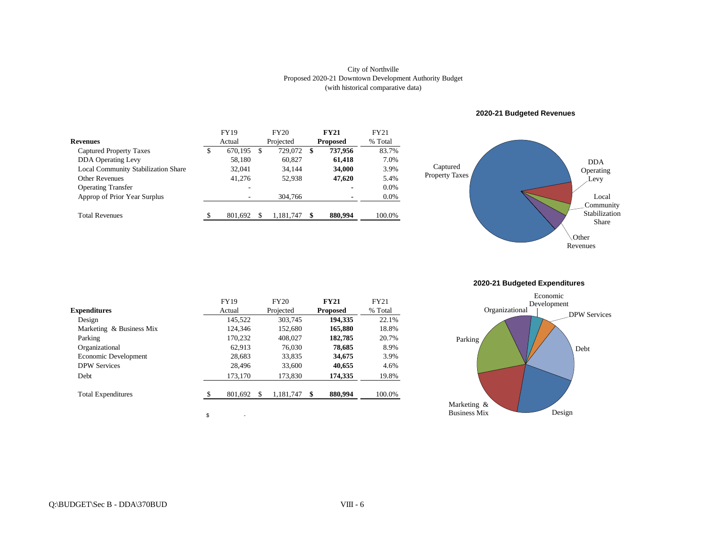#### (with historical comparative data) City of Northville Proposed 2020-21 Downtown Development Authority Budget

|                                     | <b>FY19</b> |         |   | FY20      |                 | <b>FY21</b> | FY21    |
|-------------------------------------|-------------|---------|---|-----------|-----------------|-------------|---------|
| <b>Revenues</b>                     |             | Actual  |   | Projected | <b>Proposed</b> |             | % Total |
| Captured Property Taxes             | \$          | 670.195 | S | 729,072   | -S              | 737,956     | 83.7%   |
| <b>DDA</b> Operating Levy           |             | 58,180  |   | 60.827    |                 | 61,418      | 7.0%    |
| Local Community Stabilization Share |             | 32,041  |   | 34.144    |                 | 34,000      | 3.9%    |
| <b>Other Revenues</b>               |             | 41.276  |   | 52.938    |                 | 47,620      | 5.4%    |
| <b>Operating Transfer</b>           |             | ۰       |   |           |                 | -           | $0.0\%$ |
| Approp of Prior Year Surplus        |             | ۰       |   | 304,766   |                 |             | $0.0\%$ |
| <b>Total Revenues</b>               | S           | 801,692 |   | 1,181,747 |                 | 880,994     | 100.0%  |

#### **2020-21 Budgeted Revenues**



**2020-21 Budgeted Expenditures**

|                           | <b>FY19</b>  | <b>FY20</b>     | <b>FY21</b>     | <b>FY21</b> |
|---------------------------|--------------|-----------------|-----------------|-------------|
| <b>Expenditures</b>       | Actual       | Projected       | <b>Proposed</b> | % Total     |
| Design                    | 145,522      | 303,745         | 194,335         | 22.1%       |
| Marketing & Business Mix  | 124,346      | 152,680         | 165,880         | 18.8%       |
| Parking                   | 170,232      | 408,027         | 182,785         | 20.7%       |
| Organizational            | 62.913       | 76,030          | 78,685          | 8.9%        |
| Economic Development      | 28,683       | 33.835          | 34,675          | 3.9%        |
| <b>DPW Services</b>       | 28,496       | 33,600          | 40,655          | 4.6%        |
| <b>Debt</b>               | 173,170      | 173,830         | 174,335         | 19.8%       |
| <b>Total Expenditures</b> | S<br>801,692 | \$<br>1,181,747 | \$<br>880,994   | 100.0%      |

 $\sim$ 

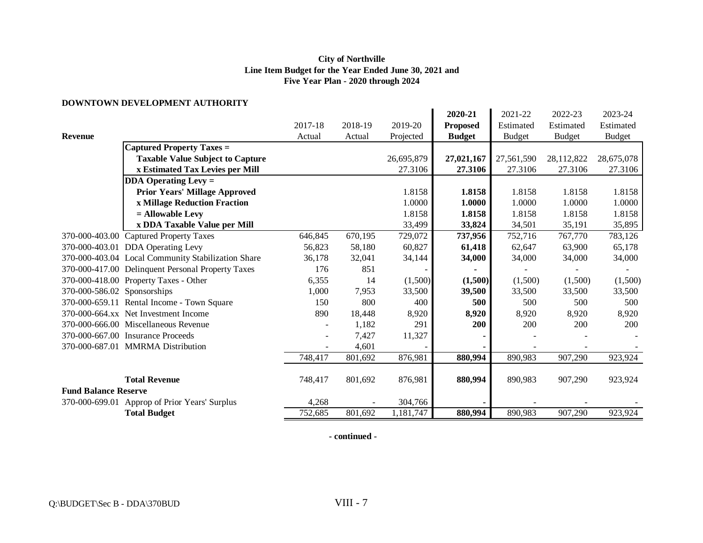#### **DOWNTOWN DEVELOPMENT AUTHORITY**

|                             | DOWNTOWN DEVELOI MENT AUTHONITT                    |         |         |            |                 |               |               |               |
|-----------------------------|----------------------------------------------------|---------|---------|------------|-----------------|---------------|---------------|---------------|
|                             |                                                    |         |         |            | 2020-21         | 2021-22       | 2022-23       | 2023-24       |
|                             |                                                    | 2017-18 | 2018-19 | 2019-20    | <b>Proposed</b> | Estimated     | Estimated     | Estimated     |
| <b>Revenue</b>              |                                                    | Actual  | Actual  | Projected  | <b>Budget</b>   | <b>Budget</b> | <b>Budget</b> | <b>Budget</b> |
|                             | <b>Captured Property Taxes =</b>                   |         |         |            |                 |               |               |               |
|                             | <b>Taxable Value Subject to Capture</b>            |         |         | 26,695,879 | 27,021,167      | 27,561,590    | 28,112,822    | 28,675,078    |
|                             | x Estimated Tax Levies per Mill                    |         |         | 27.3106    | 27.3106         | 27.3106       | 27.3106       | 27.3106       |
|                             | $DDA$ Operating Levy =                             |         |         |            |                 |               |               |               |
|                             | <b>Prior Years' Millage Approved</b>               |         |         | 1.8158     | 1.8158          | 1.8158        | 1.8158        | 1.8158        |
|                             | x Millage Reduction Fraction                       |         |         | 1.0000     | 1.0000          | 1.0000        | 1.0000        | 1.0000        |
|                             | $=$ Allowable Levy                                 |         |         | 1.8158     | 1.8158          | 1.8158        | 1.8158        | 1.8158        |
|                             | x DDA Taxable Value per Mill                       |         |         | 33,499     | 33,824          | 34,501        | 35,191        | 35,895        |
|                             | 370-000-403.00 Captured Property Taxes             | 646,845 | 670,195 | 729,072    | 737,956         | 752,716       | 767,770       | 783,126       |
|                             | 370-000-403.01 DDA Operating Levy                  | 56,823  | 58,180  | 60,827     | 61,418          | 62,647        | 63,900        | 65,178        |
|                             | 370-000-403.04 Local Community Stabilization Share | 36,178  | 32,041  | 34,144     | 34,000          | 34,000        | 34,000        | 34,000        |
|                             | 370-000-417.00 Delinquent Personal Property Taxes  | 176     | 851     |            |                 |               |               |               |
|                             | 370-000-418.00 Property Taxes - Other              | 6,355   | 14      | (1,500)    | (1,500)         | (1,500)       | (1,500)       | (1,500)       |
| 370-000-586.02 Sponsorships |                                                    | 1,000   | 7,953   | 33,500     | 39,500          | 33,500        | 33,500        | 33,500        |
|                             | 370-000-659.11 Rental Income - Town Square         | 150     | 800     | 400        | 500             | 500           | 500           | 500           |
|                             | 370-000-664.xx Net Investment Income               | 890     | 18,448  | 8,920      | 8,920           | 8,920         | 8,920         | 8,920         |
|                             | 370-000-666.00 Miscellaneous Revenue               |         | 1,182   | 291        | 200             | 200           | 200           | 200           |
|                             | 370-000-667.00 Insurance Proceeds                  |         | 7,427   | 11,327     |                 |               |               |               |
|                             | 370-000-687.01 MMRMA Distribution                  |         | 4,601   |            |                 |               |               |               |
|                             |                                                    | 748,417 | 801,692 | 876,981    | 880,994         | 890,983       | 907,290       | 923,924       |
|                             |                                                    |         |         |            |                 |               |               |               |
|                             | <b>Total Revenue</b>                               | 748,417 | 801,692 | 876,981    | 880,994         | 890,983       | 907,290       | 923,924       |
| <b>Fund Balance Reserve</b> |                                                    |         |         |            |                 |               |               |               |
|                             | 370-000-699.01 Approp of Prior Years' Surplus      | 4,268   |         | 304,766    |                 |               |               |               |
|                             | <b>Total Budget</b>                                | 752,685 | 801,692 | 1,181,747  | 880,994         | 890,983       | 907,290       | 923,924       |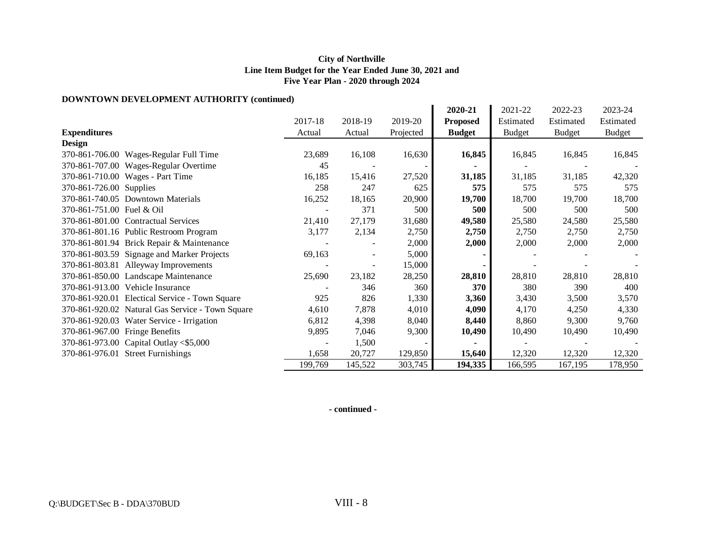### **DOWNTOWN DEVELOPMENT AUTHORITY (continued)**

|                                                  |                |         |           | 2020-21         | 2021-22       | 2022-23       | 2023-24       |
|--------------------------------------------------|----------------|---------|-----------|-----------------|---------------|---------------|---------------|
|                                                  | 2017-18        | 2018-19 | 2019-20   | <b>Proposed</b> | Estimated     | Estimated     | Estimated     |
| <b>Expenditures</b>                              | Actual         | Actual  | Projected | <b>Budget</b>   | <b>Budget</b> | <b>Budget</b> | <b>Budget</b> |
| <b>Design</b>                                    |                |         |           |                 |               |               |               |
| 370-861-706.00 Wages-Regular Full Time           | 23,689         | 16,108  | 16,630    | 16,845          | 16,845        | 16,845        | 16,845        |
| 370-861-707.00 Wages-Regular Overtime            | 45             |         |           |                 |               |               |               |
| 370-861-710.00 Wages - Part Time                 | 16,185         | 15,416  | 27,520    | 31,185          | 31,185        | 31,185        | 42,320        |
| 370-861-726.00 Supplies                          | 258            | 247     | 625       | 575             | 575           | 575           | 575           |
| 370-861-740.05 Downtown Materials                | 16,252         | 18,165  | 20,900    | 19,700          | 18,700        | 19,700        | 18,700        |
| 370-861-751.00 Fuel & Oil                        | $\blacksquare$ | 371     | 500       | 500             | 500           | 500           | 500           |
| 370-861-801.00 Contractual Services              | 21,410         | 27,179  | 31,680    | 49,580          | 25,580        | 24,580        | 25,580        |
| 370-861-801.16 Public Restroom Program           | 3,177          | 2,134   | 2,750     | 2,750           | 2,750         | 2,750         | 2,750         |
| 370-861-801.94 Brick Repair & Maintenance        |                |         | 2,000     | 2,000           | 2,000         | 2,000         | 2,000         |
| 370-861-803.59 Signage and Marker Projects       | 69,163         |         | 5,000     |                 |               |               |               |
| 370-861-803.81 Alleyway Improvements             |                |         | 15,000    |                 |               |               |               |
| 370-861-850.00 Landscape Maintenance             | 25,690         | 23,182  | 28,250    | 28,810          | 28,810        | 28,810        | 28,810        |
| 370-861-913.00 Vehicle Insurance                 |                | 346     | 360       | 370             | 380           | 390           | 400           |
| 370-861-920.01 Electical Service - Town Square   | 925            | 826     | 1,330     | 3,360           | 3,430         | 3,500         | 3,570         |
| 370-861-920.02 Natural Gas Service - Town Square | 4,610          | 7,878   | 4,010     | 4,090           | 4,170         | 4,250         | 4,330         |
| 370-861-920.03 Water Service - Irrigation        | 6,812          | 4,398   | 8,040     | 8,440           | 8,860         | 9,300         | 9,760         |
| 370-861-967.00 Fringe Benefits                   | 9,895          | 7,046   | 9,300     | 10,490          | 10,490        | 10,490        | 10,490        |
| 370-861-973.00 Capital Outlay <\$5,000           |                | 1,500   |           |                 |               |               |               |
| 370-861-976.01 Street Furnishings                | 1,658          | 20,727  | 129,850   | 15,640          | 12,320        | 12,320        | 12,320        |
|                                                  | 199,769        | 145,522 | 303,745   | 194,335         | 166,595       | 167,195       | 178,950       |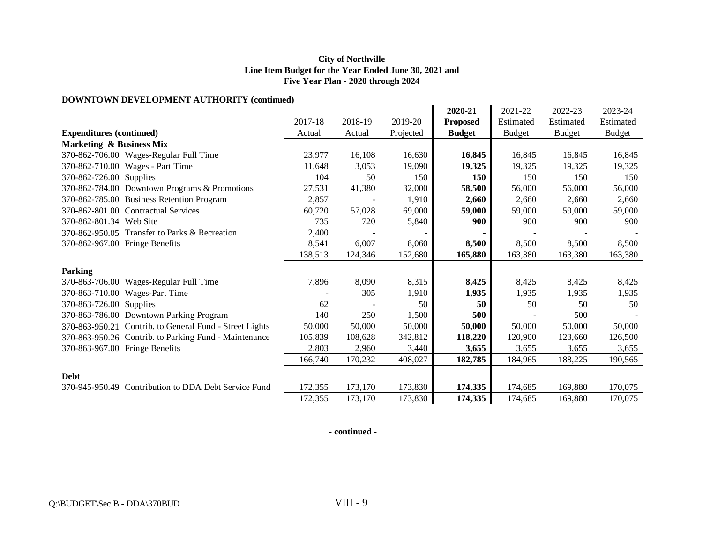### **DOWNTOWN DEVELOPMENT AUTHORITY (continued)**

| DO WIND WINDLY LEOI MERNE AO FIRONELL (COMMITTED)       |         |         |           |                 |               |               |               |
|---------------------------------------------------------|---------|---------|-----------|-----------------|---------------|---------------|---------------|
|                                                         |         |         |           | 2020-21         | 2021-22       | 2022-23       | 2023-24       |
|                                                         | 2017-18 | 2018-19 | 2019-20   | <b>Proposed</b> | Estimated     | Estimated     | Estimated     |
| <b>Expenditures (continued)</b>                         | Actual  | Actual  | Projected | <b>Budget</b>   | <b>Budget</b> | <b>Budget</b> | <b>Budget</b> |
| <b>Marketing &amp; Business Mix</b>                     |         |         |           |                 |               |               |               |
| 370-862-706.00 Wages-Regular Full Time                  | 23,977  | 16,108  | 16,630    | 16,845          | 16,845        | 16,845        | 16,845        |
| 370-862-710.00 Wages - Part Time                        | 11,648  | 3,053   | 19,090    | 19,325          | 19,325        | 19,325        | 19,325        |
| 370-862-726.00 Supplies                                 | 104     | 50      | 150       | 150             | 150           | 150           | 150           |
| 370-862-784.00 Downtown Programs & Promotions           | 27,531  | 41,380  | 32,000    | 58,500          | 56,000        | 56,000        | 56,000        |
| 370-862-785.00 Business Retention Program               | 2,857   |         | 1,910     | 2,660           | 2,660         | 2,660         | 2,660         |
| 370-862-801.00 Contractual Services                     | 60,720  | 57,028  | 69,000    | 59,000          | 59,000        | 59,000        | 59,000        |
| 370-862-801.34 Web Site                                 | 735     | 720     | 5,840     | 900             | 900           | 900           | 900           |
| 370-862-950.05 Transfer to Parks & Recreation           | 2,400   |         |           |                 |               |               |               |
| 370-862-967.00 Fringe Benefits                          | 8,541   | 6,007   | 8,060     | 8,500           | 8,500         | 8,500         | 8,500         |
|                                                         | 138,513 | 124,346 | 152,680   | 165,880         | 163,380       | 163,380       | 163,380       |
| <b>Parking</b>                                          |         |         |           |                 |               |               |               |
| 370-863-706.00 Wages-Regular Full Time                  | 7,896   | 8,090   | 8,315     | 8,425           | 8,425         | 8,425         | 8,425         |
| 370-863-710.00 Wages-Part Time                          |         | 305     | 1,910     | 1,935           | 1,935         | 1,935         | 1,935         |
|                                                         |         |         |           |                 |               |               |               |
| 370-863-726.00 Supplies                                 | 62      |         | 50        | 50              | 50            | 50            | 50            |
| 370-863-786.00 Downtown Parking Program                 | 140     | 250     | 1,500     | 500             |               | 500           |               |
| 370-863-950.21 Contrib. to General Fund - Street Lights | 50,000  | 50,000  | 50,000    | 50,000          | 50,000        | 50,000        | 50,000        |
| 370-863-950.26 Contrib. to Parking Fund - Maintenance   | 105,839 | 108,628 | 342,812   | 118,220         | 120,900       | 123,660       | 126,500       |
| 370-863-967.00 Fringe Benefits                          | 2,803   | 2,960   | 3,440     | 3,655           | 3,655         | 3,655         | 3,655         |
|                                                         | 166,740 | 170,232 | 408,027   | 182,785         | 184,965       | 188,225       | 190,565       |
| <b>Debt</b>                                             |         |         |           |                 |               |               |               |
| 370-945-950.49 Contribution to DDA Debt Service Fund    | 172,355 | 173,170 | 173,830   | 174,335         | 174,685       | 169,880       | 170,075       |
|                                                         | 172,355 | 173,170 | 173,830   | 174,335         | 174,685       | 169,880       | 170,075       |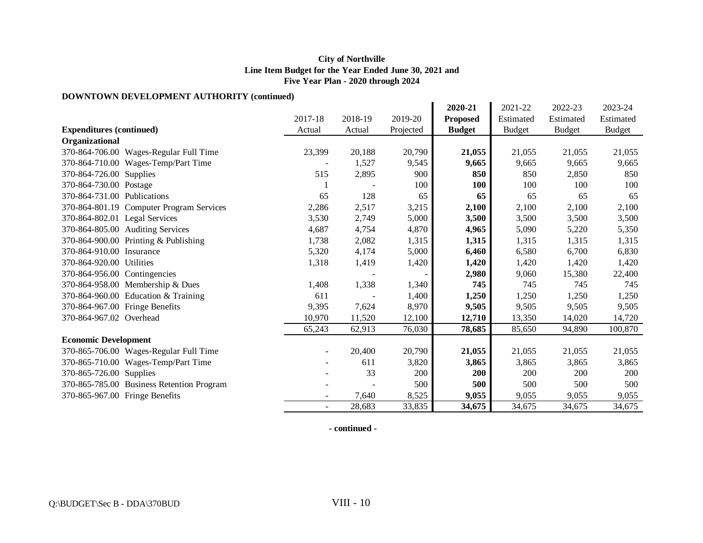### **DOWNTOWN DEVELOPMENT AUTHORITY (continued)**

| DO WINDO WINDEYEEDT MEENT AUTHONITT (COMMIQUE) |                          |         |           |                 |               |               |               |
|------------------------------------------------|--------------------------|---------|-----------|-----------------|---------------|---------------|---------------|
|                                                |                          |         |           | 2020-21         | 2021-22       | 2022-23       | 2023-24       |
|                                                | 2017-18                  | 2018-19 | 2019-20   | <b>Proposed</b> | Estimated     | Estimated     | Estimated     |
| <b>Expenditures (continued)</b>                | Actual                   | Actual  | Projected | <b>Budget</b>   | <b>Budget</b> | <b>Budget</b> | <b>Budget</b> |
| Organizational                                 |                          |         |           |                 |               |               |               |
| 370-864-706.00 Wages-Regular Full Time         | 23,399                   | 20,188  | 20,790    | 21,055          | 21,055        | 21,055        | 21,055        |
| 370-864-710.00 Wages-Temp/Part Time            |                          | 1,527   | 9,545     | 9,665           | 9,665         | 9,665         | 9,665         |
| 370-864-726.00 Supplies                        | 515                      | 2,895   | 900       | 850             | 850           | 2,850         | 850           |
| 370-864-730.00 Postage                         |                          |         | 100       | <b>100</b>      | 100           | 100           | 100           |
| 370-864-731.00 Publications                    | 65                       | 128     | 65        | 65              | 65            | 65            | 65            |
| 370-864-801.19 Computer Program Services       | 2,286                    | 2,517   | 3,215     | 2,100           | 2,100         | 2,100         | 2,100         |
| 370-864-802.01 Legal Services                  | 3,530                    | 2,749   | 5,000     | 3,500           | 3,500         | 3,500         | 3,500         |
| 370-864-805.00 Auditing Services               | 4,687                    | 4,754   | 4,870     | 4,965           | 5,090         | 5,220         | 5,350         |
| 370-864-900.00 Printing & Publishing           | 1,738                    | 2,082   | 1,315     | 1,315           | 1,315         | 1,315         | 1,315         |
| 370-864-910.00 Insurance                       | 5,320                    | 4,174   | 5,000     | 6,460           | 6,580         | 6,700         | 6,830         |
| 370-864-920.00 Utilities                       | 1,318                    | 1,419   | 1,420     | 1,420           | 1,420         | 1,420         | 1,420         |
| 370-864-956.00 Contingencies                   |                          |         |           | 2,980           | 9,060         | 15,380        | 22,400        |
| 370-864-958.00 Membership & Dues               | 1,408                    | 1,338   | 1,340     | 745             | 745           | 745           | 745           |
| 370-864-960.00 Education & Training            | 611                      |         | 1,400     | 1,250           | 1,250         | 1,250         | 1,250         |
| 370-864-967.00 Fringe Benefits                 | 9,395                    | 7,624   | 8,970     | 9,505           | 9,505         | 9,505         | 9,505         |
| 370-864-967.02 Overhead                        | 10,970                   | 11,520  | 12,100    | 12,710          | 13,350        | 14,020        | 14,720        |
|                                                | 65,243                   | 62,913  | 76,030    | 78,685          | 85,650        | 94,890        | 100,870       |
| <b>Economic Development</b>                    |                          |         |           |                 |               |               |               |
| 370-865-706.00 Wages-Regular Full Time         | $\overline{\phantom{a}}$ | 20,400  | 20,790    | 21,055          | 21,055        | 21,055        | 21,055        |
| 370-865-710.00 Wages-Temp/Part Time            |                          | 611     | 3,820     | 3,865           | 3,865         | 3,865         | 3,865         |
| 370-865-726.00 Supplies                        |                          | 33      | 200       | 200             | <b>200</b>    | 200           | <b>200</b>    |
| 370-865-785.00 Business Retention Program      |                          |         | 500       | 500             | 500           | 500           | 500           |
| 370-865-967.00 Fringe Benefits                 |                          | 7,640   | 8,525     | 9,055           | 9,055         | 9,055         | 9,055         |
|                                                | $\blacksquare$           | 28,683  | 33,835    | 34,675          | 34,675        | 34,675        | 34,675        |